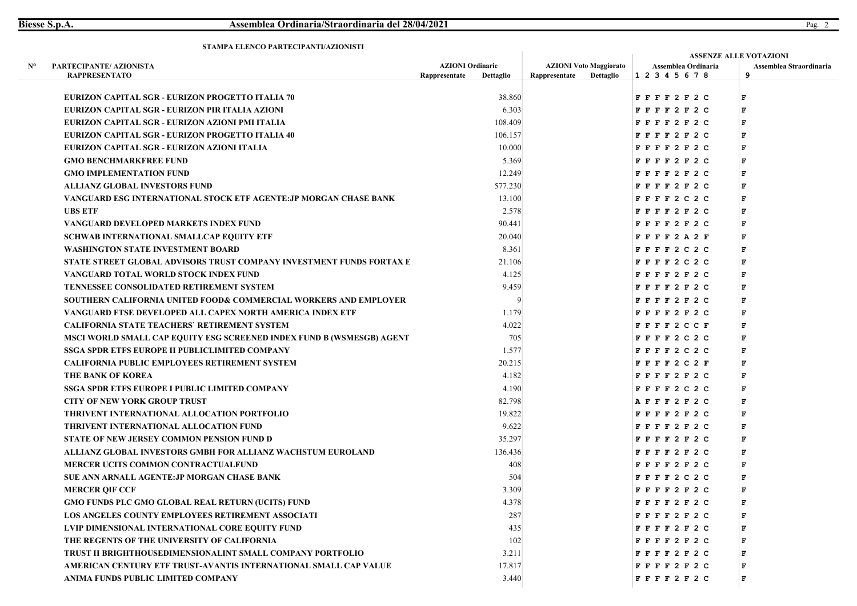|    | STAMFA ELENCO FARTECIFANTI/AZIONISTI                                  |                                          |           |               |                                            | <b>ASSENZE ALLE VOTAZIONI</b>          |                              |  |  |
|----|-----------------------------------------------------------------------|------------------------------------------|-----------|---------------|--------------------------------------------|----------------------------------------|------------------------------|--|--|
| N° | PARTECIPANTE/ AZIONISTA<br><b>RAPPRESENTATO</b>                       | <b>AZIONI</b> Ordinarie<br>Rappresentate | Dettaglio | Rappresentate | <b>AZIONI Voto Maggiorato</b><br>Dettaglio | Assemblea Ordinaria<br>1 2 3 4 5 6 7 8 | Assemblea Straordinaria<br>9 |  |  |
|    | EURIZON CAPITAL SGR - EURIZON PROGETTO ITALIA 70                      |                                          | 38.860    |               |                                            | FFFF2F2C                               | F                            |  |  |
|    | EURIZON CAPITAL SGR - EURIZON PIR ITALIA AZIONI                       |                                          | 6.303     |               |                                            | FFFF2F2C                               | F                            |  |  |
|    | EURIZON CAPITAL SGR - EURIZON AZIONI PMI ITALIA                       |                                          | 108.409   |               |                                            | FFFF2F2C                               | $\mathbf F$                  |  |  |
|    | EURIZON CAPITAL SGR - EURIZON PROGETTO ITALIA 40                      |                                          | 106.157   |               |                                            | FFFF2F2C                               | F                            |  |  |
|    | EURIZON CAPITAL SGR - EURIZON AZIONI ITALIA                           |                                          | 10.000    |               |                                            | FFFF2F2C                               | F                            |  |  |
|    | <b>GMO BENCHMARKFREE FUND</b>                                         |                                          | 5.369     |               |                                            | FFFF2F2C                               | F                            |  |  |
|    | <b>GMO IMPLEMENTATION FUND</b>                                        |                                          | 12.249    |               |                                            | FFFF2F2C                               | F                            |  |  |
|    | <b>ALLIANZ GLOBAL INVESTORS FUND</b>                                  |                                          | 577.230   |               |                                            | FFFF2F2C                               | F                            |  |  |
|    | VANGUARD ESG INTERNATIONAL STOCK ETF AGENTE: JP MORGAN CHASE BANK     |                                          | 13.100    |               |                                            | $F$ $F$ $F$ $F$ 2 C 2 C                | F                            |  |  |
|    | <b>UBS ETF</b>                                                        |                                          | 2.578     |               |                                            | FFFF2F2C                               | F                            |  |  |
|    | VANGUARD DEVELOPED MARKETS INDEX FUND                                 |                                          | 90.441    |               |                                            | FFFF2F2C                               | F                            |  |  |
|    | <b>SCHWAB INTERNATIONAL SMALLCAP EQUITY ETF</b>                       |                                          | 20.040    |               |                                            | FFFF2A2F                               | F                            |  |  |
|    | <b>WASHINGTON STATE INVESTMENT BOARD</b>                              |                                          | 8.361     |               |                                            | $F$ FFF2C2C                            | г                            |  |  |
|    | STATE STREET GLOBAL ADVISORS TRUST COMPANY INVESTMENT FUNDS FORTAX E  |                                          | 21.106    |               |                                            | $F$ $F$ $F$ $2$ $C$ $2$ $C$            | F                            |  |  |
|    | VANGUARD TOTAL WORLD STOCK INDEX FUND                                 |                                          | 4.125     |               |                                            | FFFF2F2C                               | F                            |  |  |
|    | <b>TENNESSEE CONSOLIDATED RETIREMENT SYSTEM</b>                       |                                          | 9.459     |               |                                            | FFFF2F2C                               | F                            |  |  |
|    | SOUTHERN CALIFORNIA UNITED FOOD& COMMERCIAL WORKERS AND EMPLOYER      |                                          |           |               |                                            | FFFF2F2C                               | F                            |  |  |
|    | VANGUARD FTSE DEVELOPED ALL CAPEX NORTH AMERICA INDEX ETF             |                                          | 1.179     |               |                                            | FFFF2F2C                               | F                            |  |  |
|    | <b>CALIFORNIA STATE TEACHERS' RETIREMENT SYSTEM</b>                   |                                          | 4.022     |               |                                            | FFFF2CCF                               | F                            |  |  |
|    | MSCI WORLD SMALL CAP EQUITY ESG SCREENED INDEX FUND B (WSMESGB) AGENT |                                          | 705       |               |                                            | $F$ F F F 2 C 2 C                      | F                            |  |  |
|    | <b>SSGA SPDR ETFS EUROPE II PUBLICLIMITED COMPANY</b>                 |                                          | 1.577     |               |                                            | $F$ $F$ $F$ $F$ 2 C 2 C                | F                            |  |  |
|    | <b>CALIFORNIA PUBLIC EMPLOYEES RETIREMENT SYSTEM</b>                  |                                          | 20.215    |               |                                            | FFFF2C2F                               | F                            |  |  |
|    | THE BANK OF KOREA                                                     |                                          | 4.182     |               |                                            | FFFF2F2C                               | F                            |  |  |
|    | <b>SSGA SPDR ETFS EUROPE I PUBLIC LIMITED COMPANY</b>                 |                                          | 4.190     |               |                                            | $F$ $F$ $F$ $F$ 2 C 2 C                | F                            |  |  |
|    | <b>CITY OF NEW YORK GROUP TRUST</b>                                   |                                          | 82.798    |               |                                            | AFFF2F2C                               | F                            |  |  |
|    | THRIVENT INTERNATIONAL ALLOCATION PORTFOLIO                           |                                          | 19.822    |               |                                            | FFFF2F2C                               | $\mathbf F$                  |  |  |
|    | THRIVENT INTERNATIONAL ALLOCATION FUND                                |                                          | 9.622     |               |                                            | FFFF2F2C                               | F                            |  |  |
|    | STATE OF NEW JERSEY COMMON PENSION FUND D                             |                                          | 35.297    |               |                                            | FFFF2F2C                               | F                            |  |  |
|    | ALLIANZ GLOBAL INVESTORS GMBH FOR ALLIANZ WACHSTUM EUROLAND           |                                          | 136.436   |               |                                            | FFFF2F2C                               | $\mathbf F$                  |  |  |
|    | <b>MERCER UCITS COMMON CONTRACTUALFUND</b>                            |                                          | 408       |               |                                            | FFFF2F2C                               | F                            |  |  |
|    | SUE ANN ARNALL AGENTE: JP MORGAN CHASE BANK                           |                                          | 504       |               |                                            | $F$ F F F 2 C 2 C                      | F                            |  |  |
|    | <b>MERCER QIF CCF</b>                                                 |                                          | 3.309     |               |                                            | FFFF2F2C                               | F                            |  |  |
|    | GMO FUNDS PLC GMO GLOBAL REAL RETURN (UCITS) FUND                     |                                          | 4.378     |               |                                            | FFFF2F2C                               | F                            |  |  |
|    | LOS ANGELES COUNTY EMPLOYEES RETIREMENT ASSOCIATI                     |                                          | 287       |               |                                            | FFFF2F2C                               | F                            |  |  |
|    | LVIP DIMENSIONAL INTERNATIONAL CORE EQUITY FUND                       |                                          | 435       |               |                                            | FFFF2F2C                               | F                            |  |  |
|    | THE REGENTS OF THE UNIVERSITY OF CALIFORNIA                           |                                          | 102       |               |                                            | FFFF2F2C                               | F                            |  |  |
|    | <b>TRUST II BRIGHTHOUSEDIMENSIONALINT SMALL COMPANY PORTFOLIO</b>     |                                          | 3.211     |               |                                            | FFFF2F2C                               | F                            |  |  |
|    | AMERICAN CENTURY ETF TRUST-AVANTIS INTERNATIONAL SMALL CAP VALUE      |                                          | 17.817    |               |                                            | FFFF2F2C                               | F                            |  |  |
|    | ANIMA FUNDS PUBLIC LIMITED COMPANY                                    |                                          | 3.440     |               |                                            | FFFF2F2C                               | F                            |  |  |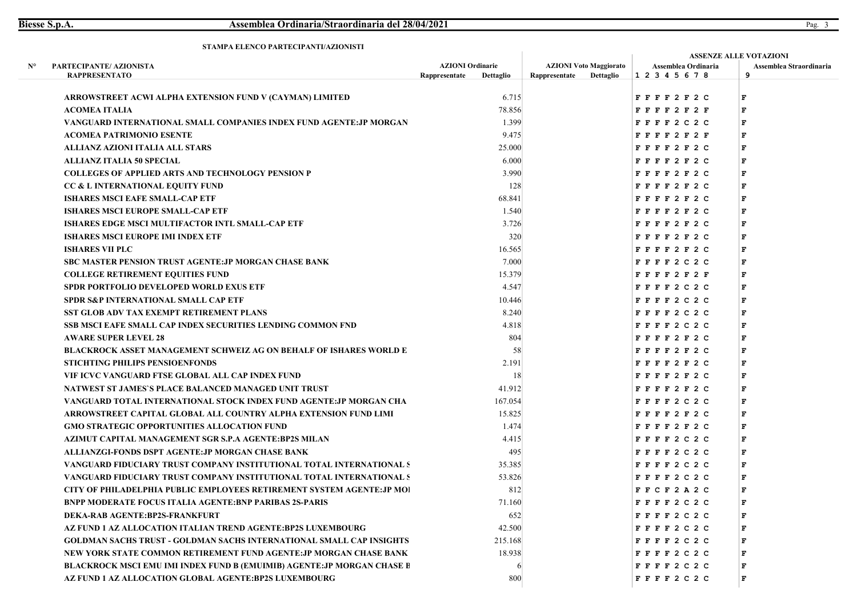|    | 91 AMI A ELENCO I ANTECH ANTI <i>FAZI</i> ONISTI                               |                         |           |                               |           | <b>ASSENZE ALLE VOTAZIONI</b> |                             |                         |  |
|----|--------------------------------------------------------------------------------|-------------------------|-----------|-------------------------------|-----------|-------------------------------|-----------------------------|-------------------------|--|
| N° | PARTECIPANTE/ AZIONISTA                                                        | <b>AZIONI</b> Ordinarie |           | <b>AZIONI Voto Maggiorato</b> |           | Assemblea Ordinaria           |                             | Assemblea Straordinaria |  |
|    | <b>RAPPRESENTATO</b>                                                           | Rappresentate           | Dettaglio | Rappresentate                 | Dettaglio | 1 2 3 4 5 6 7 8               |                             | 9                       |  |
|    | ARROWSTREET ACWI ALPHA EXTENSION FUND V (CAYMAN) LIMITED                       |                         | 6.715     |                               |           |                               | FFFF2F2C                    | F                       |  |
|    | <b>ACOMEA ITALIA</b>                                                           |                         | 78.856    |                               |           |                               | FFFF2F2F                    | $\mathbf F$             |  |
|    | VANGUARD INTERNATIONAL SMALL COMPANIES INDEX FUND AGENTE: JP MORGAN            |                         | 1.399     |                               |           |                               | $F$ $F$ $F$ $2$ $C$ $2$ $C$ | F                       |  |
|    | <b>ACOMEA PATRIMONIO ESENTE</b>                                                |                         | 9.475     |                               |           |                               | FFFF2F2F                    | F                       |  |
|    | ALLIANZ AZIONI ITALIA ALL STARS                                                |                         | 25.000    |                               |           |                               | FFFF2F2C                    | F                       |  |
|    | <b>ALLIANZ ITALIA 50 SPECIAL</b>                                               |                         | 6.000     |                               |           |                               | FFFF2F2C                    | F                       |  |
|    | <b>COLLEGES OF APPLIED ARTS AND TECHNOLOGY PENSION P</b>                       |                         | 3.990     |                               |           |                               | FFFF2F2C                    | F                       |  |
|    | CC & L INTERNATIONAL EQUITY FUND                                               |                         | 128       |                               |           |                               | FFFF2F2C                    | F                       |  |
|    | <b>ISHARES MSCI EAFE SMALL-CAP ETF</b>                                         |                         | 68.841    |                               |           |                               | FFFF2F2C                    | F                       |  |
|    | <b>ISHARES MSCI EUROPE SMALL-CAP ETF</b>                                       |                         | 1.540     |                               |           |                               | FFFF2F2C                    | F                       |  |
|    | <b>ISHARES EDGE MSCI MULTIFACTOR INTL SMALL-CAP ETF</b>                        |                         | 3.726     |                               |           |                               | F F F F 2 F 2 C             | F                       |  |
|    | <b>ISHARES MSCI EUROPE IMI INDEX ETF</b>                                       |                         | 320       |                               |           |                               | F F F F 2 F 2 C             | $\mathbf F$             |  |
|    | <b>ISHARES VII PLC</b>                                                         |                         | 16.565    |                               |           |                               | F F F F 2 F 2 C             | F                       |  |
|    | <b>SBC MASTER PENSION TRUST AGENTE: JP MORGAN CHASE BANK</b>                   |                         | 7.000     |                               |           |                               | FFFF2C2C                    | F                       |  |
|    | <b>COLLEGE RETIREMENT EQUITIES FUND</b>                                        |                         | 15.379    |                               |           |                               | FFFF2F2F                    | F                       |  |
|    | <b>SPDR PORTFOLIO DEVELOPED WORLD EXUS ETF</b>                                 |                         | 4.547     |                               |           |                               | $F$ $F$ $F$ $2$ $C$ $2$ $C$ | F                       |  |
|    | <b>SPDR S&amp;P INTERNATIONAL SMALL CAP ETF</b>                                |                         | 10.446    |                               |           |                               | $F$ $F$ $F$ $2$ $C$ $2$ $C$ | F                       |  |
|    | <b>SST GLOB ADV TAX EXEMPT RETIREMENT PLANS</b>                                |                         | 8.240     |                               |           |                               | FFFF2C2C                    | F                       |  |
|    | SSB MSCI EAFE SMALL CAP INDEX SECURITIES LENDING COMMON FND                    |                         | 4.818     |                               |           |                               | $F$ $F$ $F$ $F$ 2 C 2 C     | F                       |  |
|    | <b>AWARE SUPER LEVEL 28</b>                                                    |                         | 804       |                               |           |                               | FFFF2F2C                    | F                       |  |
|    | <b>BLACKROCK ASSET MANAGEMENT SCHWEIZ AG ON BEHALF OF ISHARES WORLD E</b>      |                         | -58       |                               |           |                               | FFFF2F2C                    | F                       |  |
|    | <b>STICHTING PHILIPS PENSIOENFONDS</b>                                         |                         | 2.191     |                               |           |                               | FFFF2F2C                    | F                       |  |
|    | VIF ICVC VANGUARD FTSE GLOBAL ALL CAP INDEX FUND                               |                         | 18        |                               |           |                               | FFFF2F2C                    | F                       |  |
|    | NATWEST ST JAMES'S PLACE BALANCED MANAGED UNIT TRUST                           |                         | 41.912    |                               |           |                               | F F F F 2 F 2 C             | F                       |  |
|    | VANGUARD TOTAL INTERNATIONAL STOCK INDEX FUND AGENTE:JP MORGAN CHA             |                         | 167.054   |                               |           |                               | FFFF2C2C                    | F                       |  |
|    | ARROWSTREET CAPITAL GLOBAL ALL COUNTRY ALPHA EXTENSION FUND LIMI               |                         | 15.825    |                               |           |                               | F F F F 2 F 2 C             | F                       |  |
|    | <b>GMO STRATEGIC OPPORTUNITIES ALLOCATION FUND</b>                             |                         | 1.474     |                               |           |                               | FFFF2F2C                    | F                       |  |
|    | AZIMUT CAPITAL MANAGEMENT SGR S.P.A AGENTE:BP2S MILAN                          |                         | 4.415     |                               |           |                               | $F$ $F$ $F$ $2 C 2 C$       | F                       |  |
|    | ALLIANZGI-FONDS DSPT AGENTE: JP MORGAN CHASE BANK                              |                         | 495       |                               |           |                               | $F$ $F$ $F$ $F$ 2 C 2 C     | F                       |  |
|    | VANGUARD FIDUCIARY TRUST COMPANY INSTITUTIONAL TOTAL INTERNATIONAL S           |                         | 35.385    |                               |           |                               | $F$ $F$ $F$ $2$ $C$ $2$ $C$ | F                       |  |
|    | VANGUARD FIDUCIARY TRUST COMPANY INSTITUTIONAL TOTAL INTERNATIONAL S           |                         | 53.826    |                               |           |                               | $F$ FFF2C2C                 | F                       |  |
|    | <b>CITY OF PHILADELPHIA PUBLIC EMPLOYEES RETIREMENT SYSTEM AGENTE: JP MOI</b>  |                         | 812       |                               |           |                               | F C F 2 A 2 C               | F                       |  |
|    | <b>BNPP MODERATE FOCUS ITALIA AGENTE:BNP PARIBAS 2S-PARIS</b>                  |                         | 71.160    |                               |           |                               | $F$ $F$ $F$ $2$ $C$ $2$ $C$ |                         |  |
|    | DEKA-RAB AGENTE:BP2S-FRANKFURT                                                 |                         | 652       |                               |           |                               | $F$ $F$ $F$ $2$ $C$ $2$ $C$ | F                       |  |
|    | AZ FUND 1 AZ ALLOCATION ITALIAN TREND AGENTE:BP2S LUXEMBOURG                   |                         | 42.500    |                               |           |                               | $F$ $F$ $F$ $2$ $C$ $2$ $C$ | F                       |  |
|    | <b>GOLDMAN SACHS TRUST - GOLDMAN SACHS INTERNATIONAL SMALL CAP INSIGHTS</b>    |                         | 215.168   |                               |           |                               | $F$ $F$ $F$ $2 C 2 C$       | F                       |  |
|    | NEW YORK STATE COMMON RETIREMENT FUND AGENTE: JP MORGAN CHASE BANK             |                         | 18.938    |                               |           |                               | $F$ $F$ $F$ $2 C 2 C$       | F                       |  |
|    | <b>BLACKROCK MSCI EMU IMI INDEX FUND B (EMUIMIB) AGENTE: JP MORGAN CHASE E</b> |                         |           |                               |           |                               | $F$ $F$ $F$ $2$ $C$ $2$ $C$ | F                       |  |
|    | AZ FUND 1 AZ ALLOCATION GLOBAL AGENTE:BP2S LUXEMBOURG                          |                         | 800       |                               |           |                               | $F$ $F$ $F$ $2 C 2 C$       | F                       |  |
|    |                                                                                |                         |           |                               |           |                               |                             |                         |  |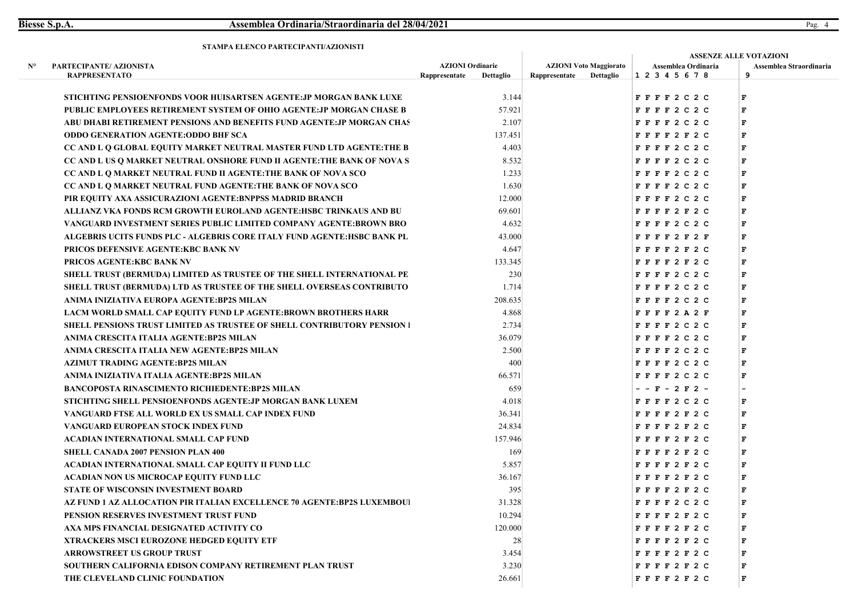|    |                                                                                |               |                         |               |                               |                             | <b>ASSENZE ALLE VOTAZIONI</b> |  |
|----|--------------------------------------------------------------------------------|---------------|-------------------------|---------------|-------------------------------|-----------------------------|-------------------------------|--|
| N° | PARTECIPANTE/ AZIONISTA                                                        |               | <b>AZIONI Ordinarie</b> |               | <b>AZIONI Voto Maggiorato</b> | Assemblea Ordinaria         | Assemblea Straordinaria       |  |
|    | <b>RAPPRESENTATO</b>                                                           | Rappresentate | Dettaglio               | Rappresentate | Dettaglio                     | 12345678                    | 9                             |  |
|    | STICHTING PENSIOENFONDS VOOR HUISARTSEN AGENTE: JP MORGAN BANK LUXE            |               | 3.144                   |               |                               | $F$ $F$ $F$ $2$ $C$ $2$ $C$ | F                             |  |
|    | PUBLIC EMPLOYEES RETIREMENT SYSTEM OF OHIO AGENTE: JP MORGAN CHASE B           |               | 57.921                  |               |                               | $F$ $F$ $F$ $2$ $C$ $2$ $C$ | $\mathbf F$                   |  |
|    | ABU DHABI RETIREMENT PENSIONS AND BENEFITS FUND AGENTE: JP MORGAN CHAS         |               | 2.107                   |               |                               | $F$ $F$ $F$ $2$ $C$ $2$ $C$ | F                             |  |
|    | <b>ODDO GENERATION AGENTE: ODDO BHF SCA</b>                                    |               | 137.451                 |               |                               | FFFF2F2C                    | F                             |  |
|    | CC AND L Q GLOBAL EQUITY MARKET NEUTRAL MASTER FUND LTD AGENTE: THE B          |               | 4.403                   |               |                               | $F$ $F$ $F$ $2$ $C$ $2$ $C$ | F                             |  |
|    | CC AND L US Q MARKET NEUTRAL ONSHORE FUND II AGENTE: THE BANK OF NOVA S        |               | 8.532                   |               |                               | $F$ FFF2C2C                 | F                             |  |
|    | CC AND L Q MARKET NEUTRAL FUND II AGENTE:THE BANK OF NOVA SCO                  |               | 1.233                   |               |                               | $F$ $F$ $F$ $2$ $C$ $2$ $C$ | $\mathbf F$                   |  |
|    | CC AND L Q MARKET NEUTRAL FUND AGENTE: THE BANK OF NOVA SCO                    |               | 1.630                   |               |                               | FFFF2C2C                    | F                             |  |
|    | PIR EQUITY AXA ASSICURAZIONI AGENTE:BNPPSS MADRID BRANCH                       |               | 12.000                  |               |                               | $F$ $F$ $F$ $2$ $C$ $2$ $C$ | F                             |  |
|    | ALLIANZ VKA FONDS RCM GROWTH EUROLAND AGENTE:HSBC TRINKAUS AND BU              |               | 69.601                  |               |                               | FFFF2F2C                    | F                             |  |
|    | VANGUARD INVESTMENT SERIES PUBLIC LIMITED COMPANY AGENTE:BROWN BRO             |               | 4.632                   |               |                               | $F$ $F$ $F$ $F$ 2 C 2 C     | F                             |  |
|    | ALGEBRIS UCITS FUNDS PLC - ALGEBRIS CORE ITALY FUND AGENTE:HSBC BANK PL        |               | 43.000                  |               |                               | FFFF2F2F                    | F                             |  |
|    | PRICOS DEFENSIVE AGENTE: KBC BANK NV                                           |               | 4.647                   |               |                               | FFFF2F2C                    | $\mathbf F$                   |  |
|    | PRICOS AGENTE: KBC BANK NV                                                     |               | 133.345                 |               |                               | F F F F 2 F 2 C             | F                             |  |
|    | SHELL TRUST (BERMUDA) LIMITED AS TRUSTEE OF THE SHELL INTERNATIONAL PE         |               | 230                     |               |                               | $F$ $F$ $F$ $2$ $C$ $2$ $C$ | F                             |  |
|    | SHELL TRUST (BERMUDA) LTD AS TRUSTEE OF THE SHELL OVERSEAS CONTRIBUTO          |               | 1.714                   |               |                               | $F$ $F$ $F$ $2$ $C$ $2$ $C$ | F                             |  |
|    | ANIMA INIZIATIVA EUROPA AGENTE:BP2S MILAN                                      |               | 208.635                 |               |                               | $F$ $F$ $F$ $2$ $C$ $2$ $C$ | F                             |  |
|    | LACM WORLD SMALL CAP EQUITY FUND LP AGENTE: BROWN BROTHERS HARR                |               | 4.868                   |               |                               | FFFF2A2F                    | F                             |  |
|    | <b>SHELL PENSIONS TRUST LIMITED AS TRUSTEE OF SHELL CONTRIBUTORY PENSION 1</b> |               | 2.734                   |               |                               | $F$ $F$ $F$ $2$ $C$ $2$ $C$ | F                             |  |
|    | ANIMA CRESCITA ITALIA AGENTE:BP2S MILAN                                        |               | 36.079                  |               |                               | $F$ $F$ $F$ $2$ $C$ $2$ $C$ | F                             |  |
|    | ANIMA CRESCITA ITALIA NEW AGENTE:BP2S MILAN                                    |               | 2.500                   |               |                               | FFFF2C2C                    | F                             |  |
|    | <b>AZIMUT TRADING AGENTE:BP2S MILAN</b>                                        |               | 400                     |               |                               | $F$ $F$ $F$ $F$ 2 C 2 C     | F                             |  |
|    | ANIMA INIZIATIVA ITALIA AGENTE:BP2S MILAN                                      |               | 66.571                  |               |                               | FFFF2C2C                    | F                             |  |
|    | <b>BANCOPOSTA RINASCIMENTO RICHIEDENTE:BP2S MILAN</b>                          |               | 659                     |               |                               | $- - F - 2 F 2 -$           |                               |  |
|    | STICHTING SHELL PENSIOENFONDS AGENTE: JP MORGAN BANK LUXEM                     |               | 4.018                   |               |                               | $F$ $F$ $F$ $F$ 2 C 2 C     | F                             |  |
|    | VANGUARD FTSE ALL WORLD EX US SMALL CAP INDEX FUND                             |               | 36.341                  |               |                               | FFFF2F2C                    | F                             |  |
|    | VANGUARD EUROPEAN STOCK INDEX FUND                                             |               | 24.834                  |               |                               | F F F F 2 F 2 C             | $\mathbf F$                   |  |
|    | ACADIAN INTERNATIONAL SMALL CAP FUND                                           |               | 157.946                 |               |                               | FFFF2F2C                    | F                             |  |
|    | <b>SHELL CANADA 2007 PENSION PLAN 400</b>                                      |               | 169                     |               |                               | FFFF2F2C                    | F                             |  |
|    | ACADIAN INTERNATIONAL SMALL CAP EQUITY II FUND LLC                             |               | 5.857                   |               |                               | FFFF2F2C                    | F                             |  |
|    | ACADIAN NON US MICROCAP EQUITY FUND LLC                                        |               | 36.167                  |               |                               | FFFF2F2C                    | F                             |  |
|    | <b>STATE OF WISCONSIN INVESTMENT BOARD</b>                                     |               | 395                     |               |                               | FFFF2F2C                    | F                             |  |
|    | AZ FUND 1 AZ ALLOCATION PIR ITALIAN EXCELLENCE 70 AGENTE:BP2S LUXEMBOUI        |               | 31.328                  |               |                               | $F$ $F$ $F$ $2$ $C$ $2$ $C$ | п                             |  |
|    | PENSION RESERVES INVESTMENT TRUST FUND                                         |               | 10.294                  |               |                               | FFFF2F2C                    | F                             |  |
|    | AXA MPS FINANCIAL DESIGNATED ACTIVITY CO                                       |               | 120.000                 |               |                               | F F F F 2 F 2 C             | F                             |  |
|    | <b>XTRACKERS MSCI EUROZONE HEDGED EQUITY ETF</b>                               |               | 28                      |               |                               | FFFF2F2C                    | F                             |  |
|    | <b>ARROWSTREET US GROUP TRUST</b>                                              |               | 3.454                   |               |                               | FFFF2F2C                    | F                             |  |
|    | SOUTHERN CALIFORNIA EDISON COMPANY RETIREMENT PLAN TRUST                       |               | 3.230                   |               |                               | FFFF2F2C                    | F                             |  |
|    | THE CLEVELAND CLINIC FOUNDATION                                                |               | 26.661                  |               |                               | FFFF2F2C                    | $\mathbf{F}$                  |  |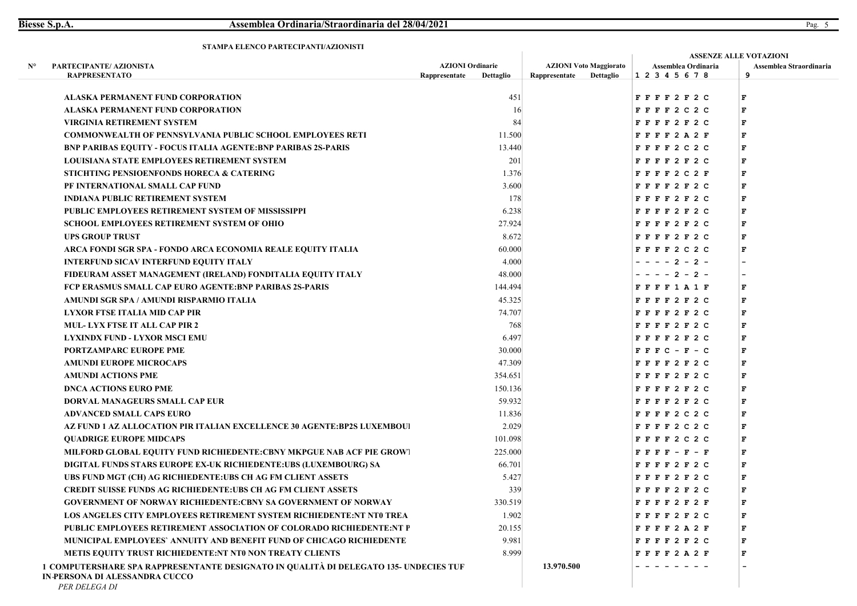|                                                                                                                                          |                            |               | <b>ASSENZE ALLE VOTAZIONI</b> |                                                                                                                                                                                                                                                                                                                                                                                                                                       |                              |  |  |  |
|------------------------------------------------------------------------------------------------------------------------------------------|----------------------------|---------------|-------------------------------|---------------------------------------------------------------------------------------------------------------------------------------------------------------------------------------------------------------------------------------------------------------------------------------------------------------------------------------------------------------------------------------------------------------------------------------|------------------------------|--|--|--|
| PARTECIPANTE/ AZIONISTA<br>$N^{\circ}$                                                                                                   | <b>AZIONI Ordinarie</b>    |               | <b>AZIONI Voto Maggiorato</b> | Assemblea Ordinaria<br>1 2 3 4 5 6 7 8                                                                                                                                                                                                                                                                                                                                                                                                | Assemblea Straordinaria<br>9 |  |  |  |
| <b>RAPPRESENTATO</b>                                                                                                                     | Rappresentate<br>Dettaglio | Rappresentate | Dettaglio                     |                                                                                                                                                                                                                                                                                                                                                                                                                                       |                              |  |  |  |
| <b>ALASKA PERMANENT FUND CORPORATION</b>                                                                                                 |                            | 451           |                               | FFFF2F2C                                                                                                                                                                                                                                                                                                                                                                                                                              | F                            |  |  |  |
| ALASKA PERMANENT FUND CORPORATION                                                                                                        |                            | 16            |                               | $F$ $F$ $F$ $F$ 2 C 2 C                                                                                                                                                                                                                                                                                                                                                                                                               | F                            |  |  |  |
| <b>VIRGINIA RETIREMENT SYSTEM</b>                                                                                                        |                            | 84            |                               | FFFF2F2C                                                                                                                                                                                                                                                                                                                                                                                                                              | $\mathbf F$                  |  |  |  |
| <b>COMMONWEALTH OF PENNSYLVANIA PUBLIC SCHOOL EMPLOYEES RETI</b>                                                                         | 11.500                     |               |                               | FFFF2A2F                                                                                                                                                                                                                                                                                                                                                                                                                              | F                            |  |  |  |
| <b>BNP PARIBAS EQUITY - FOCUS ITALIA AGENTE:BNP PARIBAS 2S-PARIS</b>                                                                     | 13.440                     |               |                               | $F$ $F$ $F$ $F$ 2 C 2 C                                                                                                                                                                                                                                                                                                                                                                                                               | F                            |  |  |  |
| <b>LOUISIANA STATE EMPLOYEES RETIREMENT SYSTEM</b>                                                                                       |                            | 201           |                               | FFFF2F2C                                                                                                                                                                                                                                                                                                                                                                                                                              | F                            |  |  |  |
| STICHTING PENSIOENFONDS HORECA & CATERING                                                                                                |                            | 1.376         |                               | FFFF2C2F                                                                                                                                                                                                                                                                                                                                                                                                                              | F                            |  |  |  |
| PF INTERNATIONAL SMALL CAP FUND                                                                                                          |                            | 3.600         |                               | FFFF2F2C                                                                                                                                                                                                                                                                                                                                                                                                                              | F                            |  |  |  |
| <b>INDIANA PUBLIC RETIREMENT SYSTEM</b>                                                                                                  |                            | 178           |                               | FFFF2F2C                                                                                                                                                                                                                                                                                                                                                                                                                              | F                            |  |  |  |
| PUBLIC EMPLOYEES RETIREMENT SYSTEM OF MISSISSIPPI                                                                                        |                            | 6.238         |                               | FFFF2F2C                                                                                                                                                                                                                                                                                                                                                                                                                              | F                            |  |  |  |
| SCHOOL EMPLOYEES RETIREMENT SYSTEM OF OHIO                                                                                               | 27.924                     |               |                               | FFFF2F2C                                                                                                                                                                                                                                                                                                                                                                                                                              | F                            |  |  |  |
| <b>UPS GROUP TRUST</b>                                                                                                                   |                            | 8.672         |                               | FFFF2F2C                                                                                                                                                                                                                                                                                                                                                                                                                              | F                            |  |  |  |
| ARCA FONDI SGR SPA - FONDO ARCA ECONOMIA REALE EQUITY ITALIA                                                                             | 60.000                     |               |                               | $F$ $F$ $F$ $2$ $C$ $2$ $C$                                                                                                                                                                                                                                                                                                                                                                                                           | $\mathbf F$                  |  |  |  |
| <b>INTERFUND SICAV INTERFUND EQUITY ITALY</b>                                                                                            |                            | 4.000         |                               | - - - - 2 - 2 -                                                                                                                                                                                                                                                                                                                                                                                                                       |                              |  |  |  |
| FIDEURAM ASSET MANAGEMENT (IRELAND) FONDITALIA EQUITY ITALY                                                                              | 48.000                     |               |                               | $-2 - 2 -$                                                                                                                                                                                                                                                                                                                                                                                                                            |                              |  |  |  |
| FCP ERASMUS SMALL CAP EURO AGENTE:BNP PARIBAS 2S-PARIS                                                                                   | 144.494                    |               |                               | F F F F 1 A 1 F                                                                                                                                                                                                                                                                                                                                                                                                                       | F                            |  |  |  |
| AMUNDI SGR SPA / AMUNDI RISPARMIO ITALIA                                                                                                 | 45.325                     |               |                               | FFFF2F2C                                                                                                                                                                                                                                                                                                                                                                                                                              | F                            |  |  |  |
| LYXOR FTSE ITALIA MID CAP PIR                                                                                                            | 74.707                     |               |                               | FFFF2F2C                                                                                                                                                                                                                                                                                                                                                                                                                              | F                            |  |  |  |
| <b>MUL-LYX FTSE IT ALL CAP PIR 2</b>                                                                                                     |                            | 768           |                               | FFFF2F2C                                                                                                                                                                                                                                                                                                                                                                                                                              | F                            |  |  |  |
| <b>LYXINDX FUND - LYXOR MSCI EMU</b>                                                                                                     |                            | 6.497         |                               | FFFF2F2C                                                                                                                                                                                                                                                                                                                                                                                                                              | F                            |  |  |  |
| PORTZAMPARC EUROPE PME                                                                                                                   | 30.000                     |               |                               | $F$ $F$ $F$ $C$ $ F$ $ C$                                                                                                                                                                                                                                                                                                                                                                                                             | F                            |  |  |  |
| AMUNDI EUROPE MICROCAPS                                                                                                                  | 47.309                     |               |                               | FFFF2F2C                                                                                                                                                                                                                                                                                                                                                                                                                              | F                            |  |  |  |
| <b>AMUNDI ACTIONS PME</b>                                                                                                                | 354.651                    |               |                               | FFFF2F2C                                                                                                                                                                                                                                                                                                                                                                                                                              | $\mathbf F$                  |  |  |  |
| <b>DNCA ACTIONS EURO PME</b>                                                                                                             | 150.136                    |               |                               | FFFF2F2C                                                                                                                                                                                                                                                                                                                                                                                                                              | F                            |  |  |  |
| DORVAL MANAGEURS SMALL CAP EUR                                                                                                           | 59.932                     |               |                               | FFFF2F2C                                                                                                                                                                                                                                                                                                                                                                                                                              | F                            |  |  |  |
| ADVANCED SMALL CAPS EURO                                                                                                                 | 11.836                     |               |                               | $F$ $F$ $F$ $F$ 2 C 2 C                                                                                                                                                                                                                                                                                                                                                                                                               | F                            |  |  |  |
| AZ FUND 1 AZ ALLOCATION PIR ITALIAN EXCELLENCE 30 AGENTE:BP2S LUXEMBOU!                                                                  |                            | 2.029         |                               | $F$ $F$ $F$ $2$ $C$ $2$ $C$                                                                                                                                                                                                                                                                                                                                                                                                           | F                            |  |  |  |
| <b>QUADRIGE EUROPE MIDCAPS</b>                                                                                                           | 101.098                    |               |                               | FFFF2C2C                                                                                                                                                                                                                                                                                                                                                                                                                              | F                            |  |  |  |
| <b>MILFORD GLOBAL EQUITY FUND RICHIEDENTE:CBNY MKPGUE NAB ACF PIE GROW!</b>                                                              | 225.000                    |               |                               | $\begin{array}{cccccccccccccc} \textbf{F} & \textbf{F} & \textbf{F} & \textbf{F} & \textbf{F} & \textbf{F} & \textbf{F} & \textbf{F} & \textbf{F} & \textbf{F} & \textbf{F} & \textbf{F} & \textbf{F} & \textbf{F} & \textbf{F} & \textbf{F} & \textbf{F} & \textbf{F} & \textbf{F} & \textbf{F} & \textbf{F} & \textbf{F} & \textbf{F} & \textbf{F} & \textbf{F} & \textbf{F} & \textbf{F} & \textbf{F} & \textbf{F} & \textbf{F} &$ | F                            |  |  |  |
| DIGITAL FUNDS STARS EUROPE EX-UK RICHIEDENTE:UBS (LUXEMBOURG) SA                                                                         | 66.701                     |               |                               | FFFF2F2C                                                                                                                                                                                                                                                                                                                                                                                                                              | F                            |  |  |  |
| UBS FUND MGT (CH) AG RICHIEDENTE:UBS CH AG FM CLIENT ASSETS                                                                              |                            | 5.427         |                               | FFFF2F2C                                                                                                                                                                                                                                                                                                                                                                                                                              | F                            |  |  |  |
| <b>CREDIT SUISSE FUNDS AG RICHIEDENTE:UBS CH AG FM CLIENT ASSETS</b>                                                                     |                            | 339           |                               | FFFF2F2C                                                                                                                                                                                                                                                                                                                                                                                                                              | г                            |  |  |  |
| <b>GOVERNMENT OF NORWAY RICHIEDENTE: CBNY SA GOVERNMENT OF NORWAY</b>                                                                    | 330.519                    |               |                               | F F F F 2 F 2 F                                                                                                                                                                                                                                                                                                                                                                                                                       | т                            |  |  |  |
| LOS ANGELES CITY EMPLOYEES RETIREMENT SYSTEM RICHIEDENTE:NT NTO TREA                                                                     |                            | 1.902         |                               | FFFF2F2C                                                                                                                                                                                                                                                                                                                                                                                                                              | F                            |  |  |  |
| <b>PUBLIC EMPLOYEES RETIREMENT ASSOCIATION OF COLORADO RICHIEDENTE:NT P</b>                                                              | 20.155                     |               |                               | FFFF2A2F                                                                                                                                                                                                                                                                                                                                                                                                                              | F                            |  |  |  |
| MUNICIPAL EMPLOYEES' ANNUITY AND BENEFIT FUND OF CHICAGO RICHIEDENTE                                                                     |                            | 9.981         |                               | FFFF2F2C                                                                                                                                                                                                                                                                                                                                                                                                                              | F                            |  |  |  |
| <b>METIS EQUITY TRUST RICHIEDENTE:NT NTO NON TREATY CLIENTS</b>                                                                          |                            | 8.999         |                               | FFFF2A2F                                                                                                                                                                                                                                                                                                                                                                                                                              | F                            |  |  |  |
| 1 COMPUTERSHARE SPA RAPPRESENTANTE DESIGNATO IN QUALITÀ DI DELEGATO 135- UNDECIES TUF<br>IN-PERSONA DI ALESSANDRA CUCCO<br>PER DELEGA DI |                            | 13.970.500    |                               |                                                                                                                                                                                                                                                                                                                                                                                                                                       |                              |  |  |  |